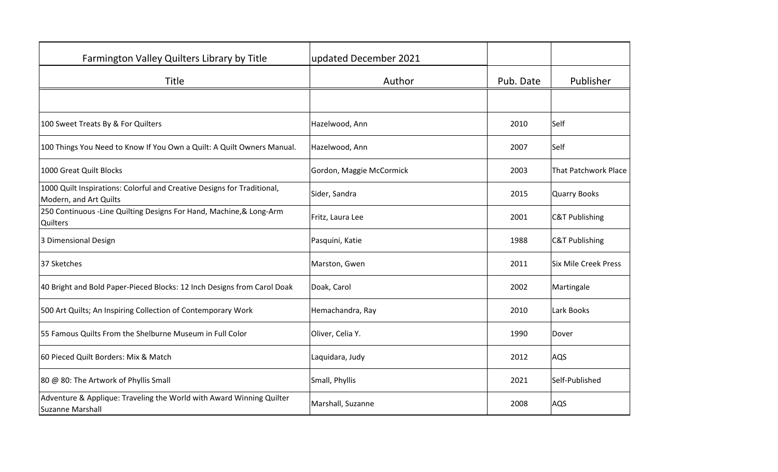| Farmington Valley Quilters Library by Title                                                       | updated December 2021    |           |                             |
|---------------------------------------------------------------------------------------------------|--------------------------|-----------|-----------------------------|
| Title                                                                                             | Author                   | Pub. Date | Publisher                   |
|                                                                                                   |                          |           |                             |
| 100 Sweet Treats By & For Quilters                                                                | Hazelwood, Ann           | 2010      | Self                        |
| 100 Things You Need to Know If You Own a Quilt: A Quilt Owners Manual.                            | Hazelwood, Ann           | 2007      | Self                        |
| 1000 Great Quilt Blocks                                                                           | Gordon, Maggie McCormick | 2003      | <b>That Patchwork Place</b> |
| 1000 Quilt Inspirations: Colorful and Creative Designs for Traditional,<br>Modern, and Art Quilts | Sider, Sandra            | 2015      | <b>Quarry Books</b>         |
| 250 Continuous -Line Quilting Designs For Hand, Machine, & Long-Arm<br><b>Quilters</b>            | Fritz, Laura Lee         | 2001      | <b>C&amp;T Publishing</b>   |
| 3 Dimensional Design                                                                              | Pasquini, Katie          | 1988      | <b>C&amp;T Publishing</b>   |
| 37 Sketches                                                                                       | Marston, Gwen            | 2011      | <b>Six Mile Creek Press</b> |
| 40 Bright and Bold Paper-Pieced Blocks: 12 Inch Designs from Carol Doak                           | Doak, Carol              | 2002      | Martingale                  |
| 500 Art Quilts; An Inspiring Collection of Contemporary Work                                      | Hemachandra, Ray         | 2010      | Lark Books                  |
| 55 Famous Quilts From the Shelburne Museum in Full Color                                          | Oliver, Celia Y.         | 1990      | Dover                       |
| 60 Pieced Quilt Borders: Mix & Match                                                              | Laquidara, Judy          | 2012      | AQS                         |
| 80 @ 80: The Artwork of Phyllis Small                                                             | Small, Phyllis           | 2021      | Self-Published              |
| Adventure & Applique: Traveling the World with Award Winning Quilter<br>Suzanne Marshall          | Marshall, Suzanne        | 2008      | AQS                         |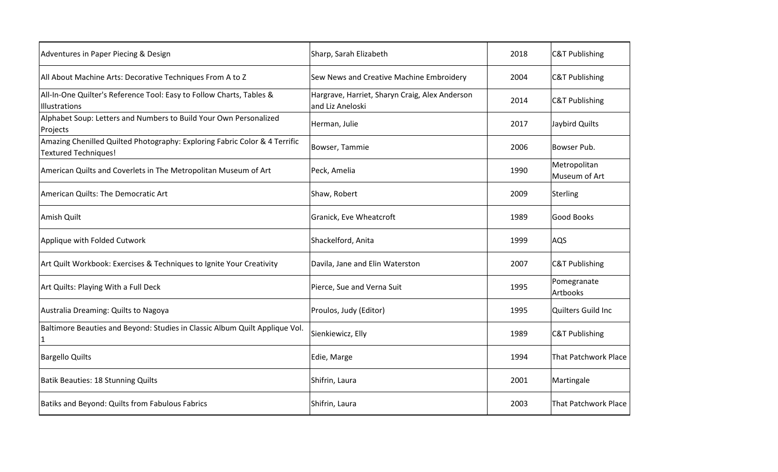| Adventures in Paper Piecing & Design                                                                      | Sharp, Sarah Elizabeth                                             | 2018 | <b>C&amp;T Publishing</b>     |
|-----------------------------------------------------------------------------------------------------------|--------------------------------------------------------------------|------|-------------------------------|
| All About Machine Arts: Decorative Techniques From A to Z                                                 | Sew News and Creative Machine Embroidery                           | 2004 | <b>C&amp;T Publishing</b>     |
| All-In-One Quilter's Reference Tool: Easy to Follow Charts, Tables &<br>Illustrations                     | Hargrave, Harriet, Sharyn Craig, Alex Anderson<br>and Liz Aneloski | 2014 | <b>C&amp;T Publishing</b>     |
| Alphabet Soup: Letters and Numbers to Build Your Own Personalized<br>Projects                             | Herman, Julie                                                      | 2017 | Jaybird Quilts                |
| Amazing Chenilled Quilted Photography: Exploring Fabric Color & 4 Terrific<br><b>Textured Techniques!</b> | Bowser, Tammie                                                     | 2006 | Bowser Pub.                   |
| American Quilts and Coverlets in The Metropolitan Museum of Art                                           | Peck, Amelia                                                       | 1990 | Metropolitan<br>Museum of Art |
| American Quilts: The Democratic Art                                                                       | Shaw, Robert                                                       | 2009 | Sterling                      |
| Amish Quilt                                                                                               | Granick, Eve Wheatcroft                                            | 1989 | Good Books                    |
| Applique with Folded Cutwork                                                                              | Shackelford, Anita                                                 | 1999 | AQS                           |
| Art Quilt Workbook: Exercises & Techniques to Ignite Your Creativity                                      | Davila, Jane and Elin Waterston                                    | 2007 | <b>C&amp;T Publishing</b>     |
| Art Quilts: Playing With a Full Deck                                                                      | Pierce, Sue and Verna Suit                                         | 1995 | Pomegranate<br>Artbooks       |
| Australia Dreaming: Quilts to Nagoya                                                                      | Proulos, Judy (Editor)                                             | 1995 | Quilters Guild Inc            |
| Baltimore Beauties and Beyond: Studies in Classic Album Quilt Applique Vol.                               | Sienkiewicz, Elly                                                  | 1989 | <b>C&amp;T Publishing</b>     |
| <b>Bargello Quilts</b>                                                                                    | Edie, Marge                                                        | 1994 | <b>That Patchwork Place</b>   |
| Batik Beauties: 18 Stunning Quilts                                                                        | Shifrin, Laura                                                     | 2001 | Martingale                    |
| Batiks and Beyond: Quilts from Fabulous Fabrics                                                           | Shifrin, Laura                                                     | 2003 | <b>That Patchwork Place</b>   |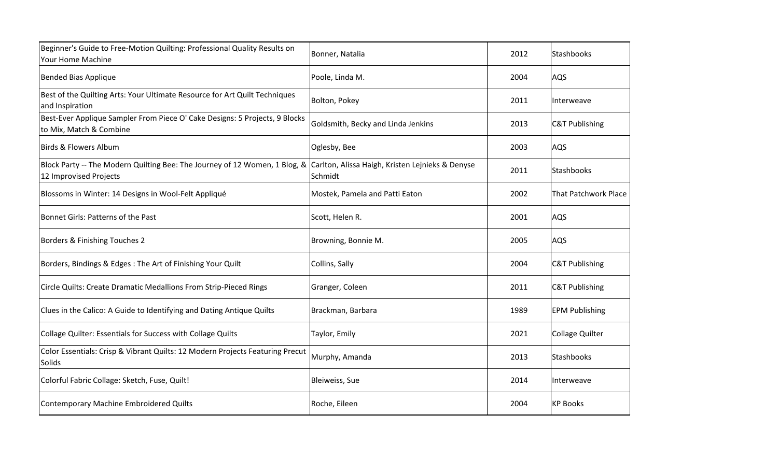| Beginner's Guide to Free-Motion Quilting: Professional Quality Results on<br>Your Home Machine         | Bonner, Natalia                                             | 2012 | Stashbooks                |
|--------------------------------------------------------------------------------------------------------|-------------------------------------------------------------|------|---------------------------|
| <b>Bended Bias Applique</b>                                                                            | Poole, Linda M.                                             | 2004 | AQS                       |
| Best of the Quilting Arts: Your Ultimate Resource for Art Quilt Techniques<br>and Inspiration          | Bolton, Pokey                                               | 2011 | Interweave                |
| Best-Ever Applique Sampler From Piece O' Cake Designs: 5 Projects, 9 Blocks<br>to Mix, Match & Combine | Goldsmith, Becky and Linda Jenkins                          | 2013 | <b>C&amp;T Publishing</b> |
| Birds & Flowers Album                                                                                  | Oglesby, Bee                                                | 2003 | AQS                       |
| Block Party -- The Modern Quilting Bee: The Journey of 12 Women, 1 Blog, &<br>12 Improvised Projects   | Carlton, Alissa Haigh, Kristen Lejnieks & Denyse<br>Schmidt | 2011 | Stashbooks                |
| Blossoms in Winter: 14 Designs in Wool-Felt Appliqué                                                   | Mostek, Pamela and Patti Eaton                              | 2002 | That Patchwork Place      |
| Bonnet Girls: Patterns of the Past                                                                     | Scott, Helen R.                                             | 2001 | AQS                       |
| Borders & Finishing Touches 2                                                                          | Browning, Bonnie M.                                         | 2005 | AQS                       |
| Borders, Bindings & Edges: The Art of Finishing Your Quilt                                             | Collins, Sally                                              | 2004 | <b>C&amp;T Publishing</b> |
| Circle Quilts: Create Dramatic Medallions From Strip-Pieced Rings                                      | Granger, Coleen                                             | 2011 | <b>C&amp;T Publishing</b> |
| Clues in the Calico: A Guide to Identifying and Dating Antique Quilts                                  | Brackman, Barbara                                           | 1989 | <b>EPM Publishing</b>     |
| Collage Quilter: Essentials for Success with Collage Quilts                                            | Taylor, Emily                                               | 2021 | <b>Collage Quilter</b>    |
| Color Essentials: Crisp & Vibrant Quilts: 12 Modern Projects Featuring Precut<br><b>Solids</b>         | Murphy, Amanda                                              | 2013 | Stashbooks                |
| Colorful Fabric Collage: Sketch, Fuse, Quilt!                                                          | Bleiweiss, Sue                                              | 2014 | Interweave                |
| Contemporary Machine Embroidered Quilts                                                                | Roche, Eileen                                               | 2004 | <b>KP Books</b>           |
|                                                                                                        |                                                             |      |                           |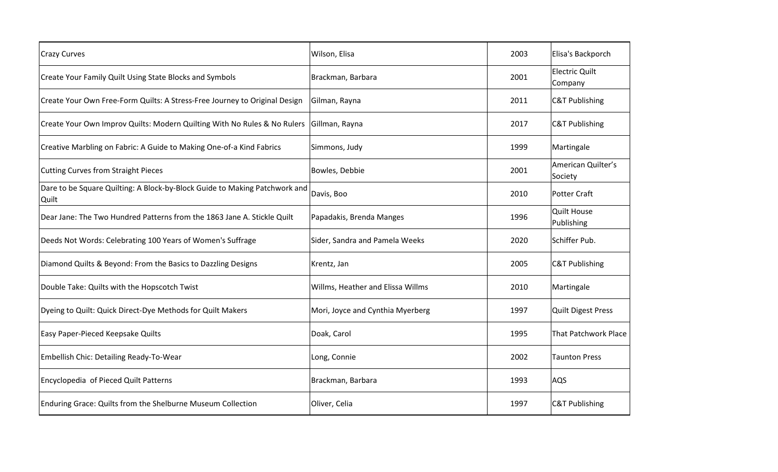| <b>Crazy Curves</b>                                                                 | Wilson, Elisa                     | 2003 | Elisa's Backporch                |
|-------------------------------------------------------------------------------------|-----------------------------------|------|----------------------------------|
| <b>Create Your Family Quilt Using State Blocks and Symbols</b>                      | Brackman, Barbara                 | 2001 | <b>Electric Quilt</b><br>Company |
| Create Your Own Free-Form Quilts: A Stress-Free Journey to Original Design          | Gilman, Rayna                     | 2011 | <b>C&amp;T Publishing</b>        |
| Create Your Own Improv Quilts: Modern Quilting With No Rules & No Rulers            | Gillman, Rayna                    | 2017 | <b>C&amp;T Publishing</b>        |
| Creative Marbling on Fabric: A Guide to Making One-of-a Kind Fabrics                | Simmons, Judy                     | 1999 | Martingale                       |
| <b>Cutting Curves from Straight Pieces</b>                                          | Bowles, Debbie                    | 2001 | American Quilter's<br>Society    |
| Dare to be Square Quilting: A Block-by-Block Guide to Making Patchwork and<br>Quilt | Davis, Boo                        | 2010 | Potter Craft                     |
| Dear Jane: The Two Hundred Patterns from the 1863 Jane A. Stickle Quilt             | Papadakis, Brenda Manges          | 1996 | <b>Quilt House</b><br>Publishing |
| Deeds Not Words: Celebrating 100 Years of Women's Suffrage                          | Sider, Sandra and Pamela Weeks    | 2020 | Schiffer Pub.                    |
| Diamond Quilts & Beyond: From the Basics to Dazzling Designs                        | Krentz, Jan                       | 2005 | <b>C&amp;T Publishing</b>        |
| Double Take: Quilts with the Hopscotch Twist                                        | Willms, Heather and Elissa Willms | 2010 | Martingale                       |
| Dyeing to Quilt: Quick Direct-Dye Methods for Quilt Makers                          | Mori, Joyce and Cynthia Myerberg  | 1997 | <b>Quilt Digest Press</b>        |
| Easy Paper-Pieced Keepsake Quilts                                                   | Doak, Carol                       | 1995 | <b>That Patchwork Place</b>      |
| Embellish Chic: Detailing Ready-To-Wear                                             | Long, Connie                      | 2002 | <b>Taunton Press</b>             |
| Encyclopedia of Pieced Quilt Patterns                                               | Brackman, Barbara                 | 1993 | AQS                              |
| Enduring Grace: Quilts from the Shelburne Museum Collection                         | Oliver, Celia                     | 1997 | <b>C&amp;T Publishing</b>        |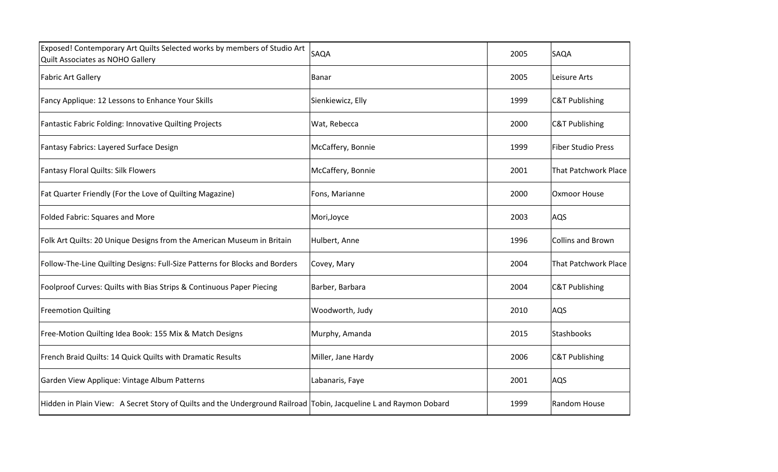| SAQA               | 2005                                                                                                              | SAQA                        |
|--------------------|-------------------------------------------------------------------------------------------------------------------|-----------------------------|
| Banar              | 2005                                                                                                              | Leisure Arts                |
| Sienkiewicz, Elly  | 1999                                                                                                              | <b>C&amp;T Publishing</b>   |
| Wat, Rebecca       | 2000                                                                                                              | <b>C&amp;T Publishing</b>   |
| McCaffery, Bonnie  | 1999                                                                                                              | <b>Fiber Studio Press</b>   |
| McCaffery, Bonnie  | 2001                                                                                                              | <b>That Patchwork Place</b> |
| Fons, Marianne     | 2000                                                                                                              | Oxmoor House                |
| Mori, Joyce        | 2003                                                                                                              | AQS                         |
| Hulbert, Anne      | 1996                                                                                                              | <b>Collins and Brown</b>    |
| Covey, Mary        | 2004                                                                                                              | <b>That Patchwork Place</b> |
| Barber, Barbara    | 2004                                                                                                              | <b>C&amp;T Publishing</b>   |
| Woodworth, Judy    | 2010                                                                                                              | AQS                         |
| Murphy, Amanda     | 2015                                                                                                              | Stashbooks                  |
| Miller, Jane Hardy | 2006                                                                                                              | <b>C&amp;T Publishing</b>   |
| Labanaris, Faye    | 2001                                                                                                              | AQS                         |
|                    | 1999                                                                                                              | Random House                |
|                    | Hidden in Plain View: A Secret Story of Quilts and the Underground Railroad Tobin, Jacqueline L and Raymon Dobard |                             |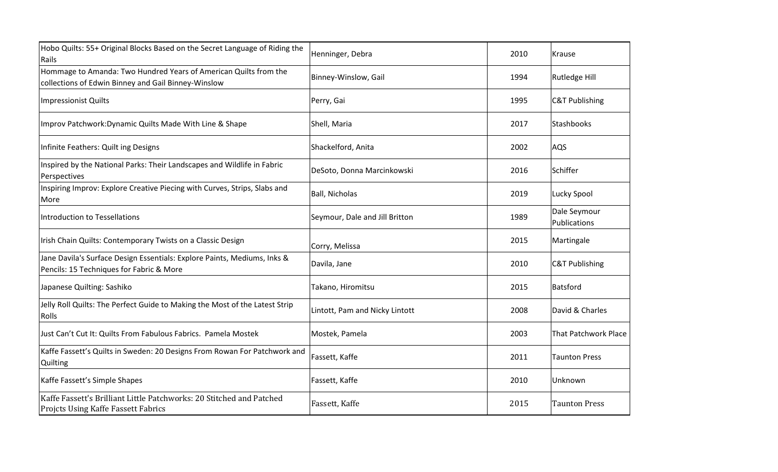| Hobo Quilts: 55+ Original Blocks Based on the Secret Language of Riding the<br>Rails                                    | Henninger, Debra               | 2010 | Krause                       |
|-------------------------------------------------------------------------------------------------------------------------|--------------------------------|------|------------------------------|
| Hommage to Amanda: Two Hundred Years of American Quilts from the<br>collections of Edwin Binney and Gail Binney-Winslow | Binney-Winslow, Gail           | 1994 | Rutledge Hill                |
| <b>Impressionist Quilts</b>                                                                                             | Perry, Gai                     | 1995 | <b>C&amp;T Publishing</b>    |
| Improv Patchwork: Dynamic Quilts Made With Line & Shape                                                                 | Shell, Maria                   | 2017 | Stashbooks                   |
| Infinite Feathers: Quilt ing Designs                                                                                    | Shackelford, Anita             | 2002 | AQS                          |
| Inspired by the National Parks: Their Landscapes and Wildlife in Fabric<br>Perspectives                                 | DeSoto, Donna Marcinkowski     | 2016 | Schiffer                     |
| Inspiring Improv: Explore Creative Piecing with Curves, Strips, Slabs and<br>More                                       | <b>Ball, Nicholas</b>          | 2019 | Lucky Spool                  |
| Introduction to Tessellations                                                                                           | Seymour, Dale and Jill Britton | 1989 | Dale Seymour<br>Publications |
| Irish Chain Quilts: Contemporary Twists on a Classic Design                                                             | Corry, Melissa                 | 2015 | Martingale                   |
| Jane Davila's Surface Design Essentials: Explore Paints, Mediums, Inks &<br>Pencils: 15 Techniques for Fabric & More    | Davila, Jane                   | 2010 | <b>C&amp;T Publishing</b>    |
| Japanese Quilting: Sashiko                                                                                              | Takano, Hiromitsu              | 2015 | Batsford                     |
| Jelly Roll Quilts: The Perfect Guide to Making the Most of the Latest Strip<br><b>Rolls</b>                             | Lintott, Pam and Nicky Lintott | 2008 | David & Charles              |
| Just Can't Cut It: Quilts From Fabulous Fabrics. Pamela Mostek                                                          | Mostek, Pamela                 | 2003 | That Patchwork Place         |
| Kaffe Fassett's Quilts in Sweden: 20 Designs From Rowan For Patchwork and<br>Quilting                                   | Fassett, Kaffe                 | 2011 | <b>Taunton Press</b>         |
| Kaffe Fassett's Simple Shapes                                                                                           | Fassett, Kaffe                 | 2010 | Unknown                      |
| Kaffe Fassett's Brilliant Little Patchworks: 20 Stitched and Patched<br><b>Projcts Using Kaffe Fassett Fabrics</b>      | Fassett, Kaffe                 | 2015 | <b>Taunton Press</b>         |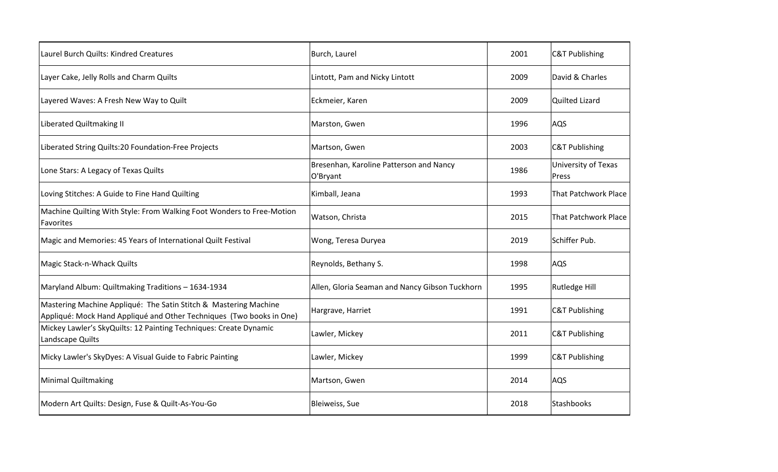| Laurel Burch Quilts: Kindred Creatures                                                                                                   | Burch, Laurel                                       | 2001 | <b>C&amp;T Publishing</b>    |
|------------------------------------------------------------------------------------------------------------------------------------------|-----------------------------------------------------|------|------------------------------|
| Layer Cake, Jelly Rolls and Charm Quilts                                                                                                 | Lintott, Pam and Nicky Lintott                      | 2009 | David & Charles              |
| Layered Waves: A Fresh New Way to Quilt                                                                                                  | Eckmeier, Karen                                     | 2009 | <b>Quilted Lizard</b>        |
| <b>Liberated Quiltmaking II</b>                                                                                                          | Marston, Gwen                                       | 1996 | AQS                          |
| Liberated String Quilts:20 Foundation-Free Projects                                                                                      | Martson, Gwen                                       | 2003 | <b>C&amp;T Publishing</b>    |
| Lone Stars: A Legacy of Texas Quilts                                                                                                     | Bresenhan, Karoline Patterson and Nancy<br>O'Bryant | 1986 | University of Texas<br>Press |
| Loving Stitches: A Guide to Fine Hand Quilting                                                                                           | Kimball, Jeana                                      | 1993 | That Patchwork Place         |
| Machine Quilting With Style: From Walking Foot Wonders to Free-Motion<br>Favorites                                                       | Watson, Christa                                     | 2015 | That Patchwork Place         |
| Magic and Memories: 45 Years of International Quilt Festival                                                                             | Wong, Teresa Duryea                                 | 2019 | Schiffer Pub.                |
| Magic Stack-n-Whack Quilts                                                                                                               | Reynolds, Bethany S.                                | 1998 | AQS                          |
| Maryland Album: Quiltmaking Traditions - 1634-1934                                                                                       | Allen, Gloria Seaman and Nancy Gibson Tuckhorn      | 1995 | Rutledge Hill                |
| Mastering Machine Appliqué: The Satin Stitch & Mastering Machine<br>Appliqué: Mock Hand Appliqué and Other Techniques (Two books in One) | Hargrave, Harriet                                   | 1991 | <b>C&amp;T Publishing</b>    |
| Mickey Lawler's SkyQuilts: 12 Painting Techniques: Create Dynamic<br>Landscape Quilts                                                    | Lawler, Mickey                                      | 2011 | <b>C&amp;T Publishing</b>    |
| Micky Lawler's SkyDyes: A Visual Guide to Fabric Painting                                                                                | Lawler, Mickey                                      | 1999 | <b>C&amp;T Publishing</b>    |
| <b>Minimal Quiltmaking</b>                                                                                                               | Martson, Gwen                                       | 2014 | AQS                          |
| Modern Art Quilts: Design, Fuse & Quilt-As-You-Go                                                                                        | Bleiweiss, Sue                                      | 2018 | Stashbooks                   |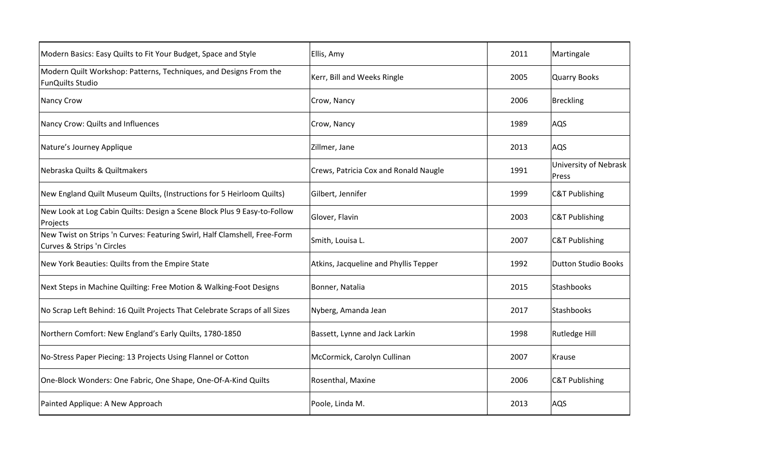| Modern Basics: Easy Quilts to Fit Your Budget, Space and Style                                          | Ellis, Amy                            | 2011 | Martingale                     |
|---------------------------------------------------------------------------------------------------------|---------------------------------------|------|--------------------------------|
| Modern Quilt Workshop: Patterns, Techniques, and Designs From the<br><b>FunQuilts Studio</b>            | Kerr, Bill and Weeks Ringle           | 2005 | <b>Quarry Books</b>            |
| <b>Nancy Crow</b>                                                                                       | Crow, Nancy                           | 2006 | Breckling                      |
| Nancy Crow: Quilts and Influences                                                                       | Crow, Nancy                           | 1989 | AQS                            |
| Nature's Journey Applique                                                                               | Zillmer, Jane                         | 2013 | AQS                            |
| Nebraska Quilts & Quiltmakers                                                                           | Crews, Patricia Cox and Ronald Naugle | 1991 | University of Nebrask<br>Press |
| New England Quilt Museum Quilts, (Instructions for 5 Heirloom Quilts)                                   | Gilbert, Jennifer                     | 1999 | <b>C&amp;T Publishing</b>      |
| New Look at Log Cabin Quilts: Design a Scene Block Plus 9 Easy-to-Follow<br>Projects                    | Glover, Flavin                        | 2003 | <b>C&amp;T Publishing</b>      |
| New Twist on Strips 'n Curves: Featuring Swirl, Half Clamshell, Free-Form<br>Curves & Strips 'n Circles | Smith, Louisa L.                      | 2007 | <b>C&amp;T Publishing</b>      |
| New York Beauties: Quilts from the Empire State                                                         | Atkins, Jacqueline and Phyllis Tepper | 1992 | <b>Dutton Studio Books</b>     |
| Next Steps in Machine Quilting: Free Motion & Walking-Foot Designs                                      | Bonner, Natalia                       | 2015 | Stashbooks                     |
| No Scrap Left Behind: 16 Quilt Projects That Celebrate Scraps of all Sizes                              | Nyberg, Amanda Jean                   | 2017 | Stashbooks                     |
| Northern Comfort: New England's Early Quilts, 1780-1850                                                 | Bassett, Lynne and Jack Larkin        | 1998 | Rutledge Hill                  |
| No-Stress Paper Piecing: 13 Projects Using Flannel or Cotton                                            | McCormick, Carolyn Cullinan           | 2007 | <b>Krause</b>                  |
| One-Block Wonders: One Fabric, One Shape, One-Of-A-Kind Quilts                                          | Rosenthal, Maxine                     | 2006 | <b>C&amp;T Publishing</b>      |
| Painted Applique: A New Approach                                                                        | Poole, Linda M.                       | 2013 | AQS                            |
|                                                                                                         |                                       |      |                                |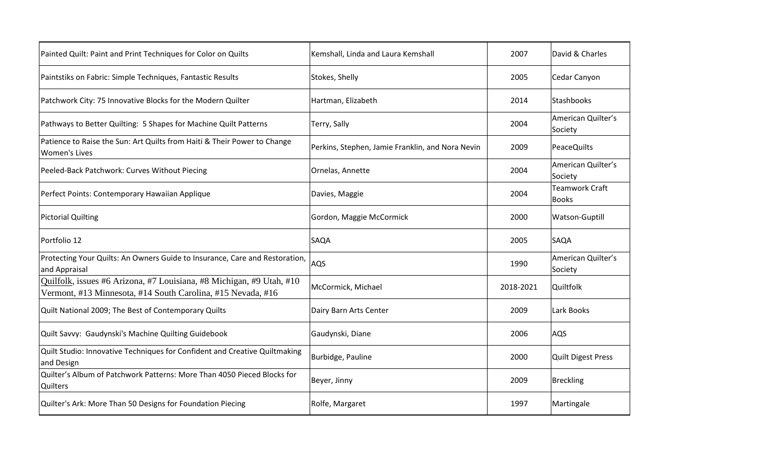| Painted Quilt: Paint and Print Techniques for Color on Quilts                                                                       | Kemshall, Linda and Laura Kemshall               | 2007      | David & Charles                       |
|-------------------------------------------------------------------------------------------------------------------------------------|--------------------------------------------------|-----------|---------------------------------------|
| Paintstiks on Fabric: Simple Techniques, Fantastic Results                                                                          | Stokes, Shelly                                   | 2005      | Cedar Canyon                          |
| Patchwork City: 75 Innovative Blocks for the Modern Quilter                                                                         | Hartman, Elizabeth                               | 2014      | Stashbooks                            |
| Pathways to Better Quilting: 5 Shapes for Machine Quilt Patterns                                                                    | Terry, Sally                                     | 2004      | American Quilter's<br>Society         |
| Patience to Raise the Sun: Art Quilts from Haiti & Their Power to Change<br><b>Women's Lives</b>                                    | Perkins, Stephen, Jamie Franklin, and Nora Nevin | 2009      | PeaceQuilts                           |
| Peeled-Back Patchwork: Curves Without Piecing                                                                                       | Ornelas, Annette                                 | 2004      | American Quilter's<br>Society         |
| Perfect Points: Contemporary Hawaiian Applique                                                                                      | Davies, Maggie                                   | 2004      | <b>Teamwork Craft</b><br><b>Books</b> |
| <b>Pictorial Quilting</b>                                                                                                           | Gordon, Maggie McCormick                         | 2000      | Watson-Guptill                        |
| Portfolio 12                                                                                                                        | SAQA                                             | 2005      | SAQA                                  |
| Protecting Your Quilts: An Owners Guide to Insurance, Care and Restoration,<br>and Appraisal                                        | AQS                                              | 1990      | American Quilter's<br>Society         |
| Quilfolk, issues #6 Arizona, #7 Louisiana, #8 Michigan, #9 Utah, #10<br>Vermont, #13 Minnesota, #14 South Carolina, #15 Nevada, #16 | McCormick, Michael                               | 2018-2021 | Quiltfolk                             |
| Quilt National 2009; The Best of Contemporary Quilts                                                                                | Dairy Barn Arts Center                           | 2009      | Lark Books                            |
| Quilt Savvy: Gaudynski's Machine Quilting Guidebook                                                                                 | Gaudynski, Diane                                 | 2006      | AQS                                   |
| Quilt Studio: Innovative Techniques for Confident and Creative Quiltmaking<br>and Design                                            | Burbidge, Pauline                                | 2000      | <b>Quilt Digest Press</b>             |
| Quilter's Album of Patchwork Patterns: More Than 4050 Pieced Blocks for<br><b>Quilters</b>                                          | Beyer, Jinny                                     | 2009      | Breckling                             |
| Quilter's Ark: More Than 50 Designs for Foundation Piecing                                                                          | Rolfe, Margaret                                  | 1997      | Martingale                            |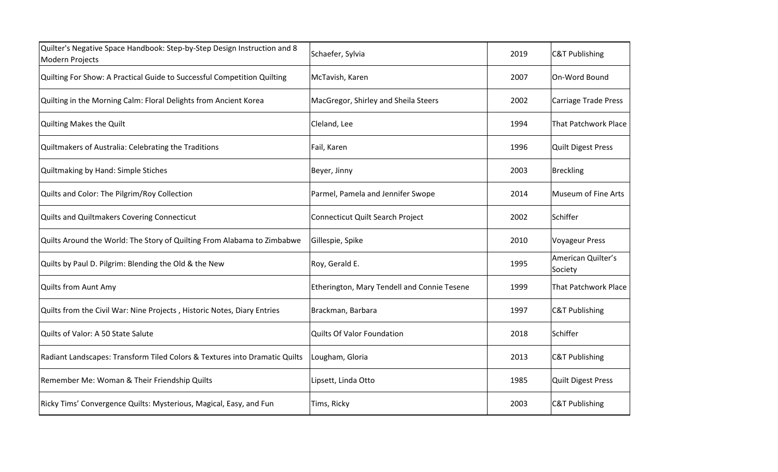| Quilter's Negative Space Handbook: Step-by-Step Design Instruction and 8<br>Modern Projects | Schaefer, Sylvia                            | 2019 | <b>C&amp;T Publishing</b>     |
|---------------------------------------------------------------------------------------------|---------------------------------------------|------|-------------------------------|
| Quilting For Show: A Practical Guide to Successful Competition Quilting                     | McTavish, Karen                             | 2007 | On-Word Bound                 |
| Quilting in the Morning Calm: Floral Delights from Ancient Korea                            | MacGregor, Shirley and Sheila Steers        | 2002 | <b>Carriage Trade Press</b>   |
| Quilting Makes the Quilt                                                                    | Cleland, Lee                                | 1994 | <b>That Patchwork Place</b>   |
| Quiltmakers of Australia: Celebrating the Traditions                                        | Fail, Karen                                 | 1996 | <b>Quilt Digest Press</b>     |
| Quiltmaking by Hand: Simple Stiches                                                         | Beyer, Jinny                                | 2003 | Breckling                     |
| Quilts and Color: The Pilgrim/Roy Collection                                                | Parmel, Pamela and Jennifer Swope           | 2014 | Museum of Fine Arts           |
| Quilts and Quiltmakers Covering Connecticut                                                 | Connecticut Quilt Search Project            | 2002 | Schiffer                      |
| Quilts Around the World: The Story of Quilting From Alabama to Zimbabwe                     | Gillespie, Spike                            | 2010 | <b>Voyageur Press</b>         |
| Quilts by Paul D. Pilgrim: Blending the Old & the New                                       | Roy, Gerald E.                              | 1995 | American Quilter's<br>Society |
| Quilts from Aunt Amy                                                                        | Etherington, Mary Tendell and Connie Tesene | 1999 | That Patchwork Place          |
| Quilts from the Civil War: Nine Projects, Historic Notes, Diary Entries                     | Brackman, Barbara                           | 1997 | <b>C&amp;T Publishing</b>     |
| Quilts of Valor: A 50 State Salute                                                          | Quilts Of Valor Foundation                  | 2018 | Schiffer                      |
| Radiant Landscapes: Transform Tiled Colors & Textures into Dramatic Quilts                  | Lougham, Gloria                             | 2013 | <b>C&amp;T Publishing</b>     |
| Remember Me: Woman & Their Friendship Quilts                                                | Lipsett, Linda Otto                         | 1985 | <b>Quilt Digest Press</b>     |
| Ricky Tims' Convergence Quilts: Mysterious, Magical, Easy, and Fun                          | Tims, Ricky                                 | 2003 | <b>C&amp;T Publishing</b>     |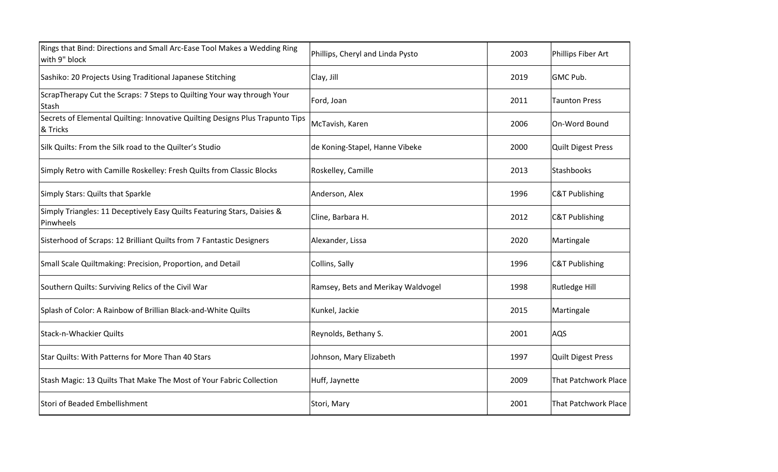| Rings that Bind: Directions and Small Arc-Ease Tool Makes a Wedding Ring<br>with 9" block | Phillips, Cheryl and Linda Pysto   | 2003 | Phillips Fiber Art          |
|-------------------------------------------------------------------------------------------|------------------------------------|------|-----------------------------|
| Sashiko: 20 Projects Using Traditional Japanese Stitching                                 | Clay, Jill                         | 2019 | GMC Pub.                    |
| ScrapTherapy Cut the Scraps: 7 Steps to Quilting Your way through Your<br>Stash           | Ford, Joan                         | 2011 | <b>Taunton Press</b>        |
| Secrets of Elemental Quilting: Innovative Quilting Designs Plus Trapunto Tips<br>& Tricks | McTavish, Karen                    | 2006 | On-Word Bound               |
| Silk Quilts: From the Silk road to the Quilter's Studio                                   | de Koning-Stapel, Hanne Vibeke     | 2000 | <b>Quilt Digest Press</b>   |
| Simply Retro with Camille Roskelley: Fresh Quilts from Classic Blocks                     | Roskelley, Camille                 | 2013 | Stashbooks                  |
| Simply Stars: Quilts that Sparkle                                                         | Anderson, Alex                     | 1996 | <b>C&amp;T Publishing</b>   |
| Simply Triangles: 11 Deceptively Easy Quilts Featuring Stars, Daisies &<br>Pinwheels      | Cline, Barbara H.                  | 2012 | <b>C&amp;T Publishing</b>   |
| Sisterhood of Scraps: 12 Brilliant Quilts from 7 Fantastic Designers                      | Alexander, Lissa                   | 2020 | Martingale                  |
| Small Scale Quiltmaking: Precision, Proportion, and Detail                                | Collins, Sally                     | 1996 | <b>C&amp;T Publishing</b>   |
| Southern Quilts: Surviving Relics of the Civil War                                        | Ramsey, Bets and Merikay Waldvogel | 1998 | Rutledge Hill               |
| Splash of Color: A Rainbow of Brillian Black-and-White Quilts                             | Kunkel, Jackie                     | 2015 | Martingale                  |
| <b>Stack-n-Whackier Quilts</b>                                                            | Reynolds, Bethany S.               | 2001 | AQS                         |
| Star Quilts: With Patterns for More Than 40 Stars                                         | Johnson, Mary Elizabeth            | 1997 | <b>Quilt Digest Press</b>   |
| Stash Magic: 13 Quilts That Make The Most of Your Fabric Collection                       | Huff, Jaynette                     | 2009 | <b>That Patchwork Place</b> |
| Stori of Beaded Embellishment                                                             | Stori, Mary                        | 2001 | That Patchwork Place        |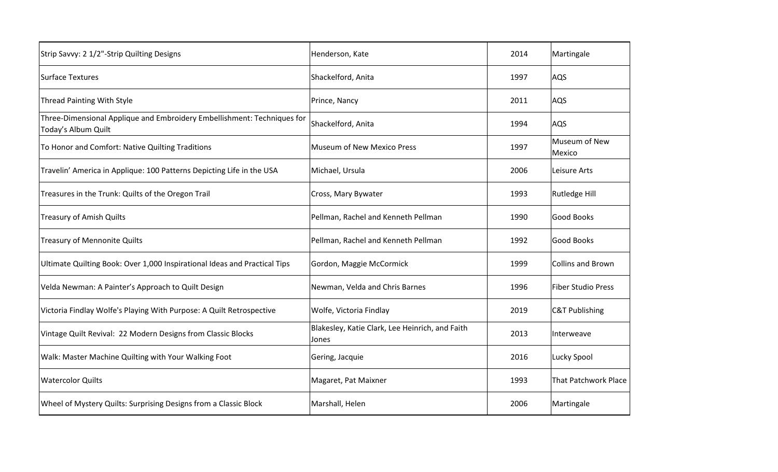| Strip Savvy: 2 1/2"-Strip Quilting Designs                                                     | Henderson, Kate                                          | 2014 | Martingale                  |
|------------------------------------------------------------------------------------------------|----------------------------------------------------------|------|-----------------------------|
| <b>Surface Textures</b>                                                                        | Shackelford, Anita                                       | 1997 | AQS                         |
| <b>Thread Painting With Style</b>                                                              | Prince, Nancy                                            | 2011 | AQS                         |
| Three-Dimensional Applique and Embroidery Embellishment: Techniques for<br>Today's Album Quilt | Shackelford, Anita                                       | 1994 | AQS                         |
| To Honor and Comfort: Native Quilting Traditions                                               | <b>Museum of New Mexico Press</b>                        | 1997 | Museum of New<br>Mexico     |
| Travelin' America in Applique: 100 Patterns Depicting Life in the USA                          | Michael, Ursula                                          | 2006 | Leisure Arts                |
| Treasures in the Trunk: Quilts of the Oregon Trail                                             | Cross, Mary Bywater                                      | 1993 | <b>Rutledge Hill</b>        |
| <b>Treasury of Amish Quilts</b>                                                                | Pellman, Rachel and Kenneth Pellman                      | 1990 | Good Books                  |
| <b>Treasury of Mennonite Quilts</b>                                                            | Pellman, Rachel and Kenneth Pellman                      | 1992 | Good Books                  |
| Ultimate Quilting Book: Over 1,000 Inspirational Ideas and Practical Tips                      | Gordon, Maggie McCormick                                 | 1999 | <b>Collins and Brown</b>    |
| Velda Newman: A Painter's Approach to Quilt Design                                             | Newman, Velda and Chris Barnes                           | 1996 | <b>Fiber Studio Press</b>   |
| Victoria Findlay Wolfe's Playing With Purpose: A Quilt Retrospective                           | Wolfe, Victoria Findlay                                  | 2019 | <b>C&amp;T Publishing</b>   |
| Vintage Quilt Revival: 22 Modern Designs from Classic Blocks                                   | Blakesley, Katie Clark, Lee Heinrich, and Faith<br>Jones | 2013 | Interweave                  |
| Walk: Master Machine Quilting with Your Walking Foot                                           | Gering, Jacquie                                          | 2016 | Lucky Spool                 |
| <b>Watercolor Quilts</b>                                                                       | Magaret, Pat Maixner                                     | 1993 | <b>That Patchwork Place</b> |
| Wheel of Mystery Quilts: Surprising Designs from a Classic Block                               | Marshall, Helen                                          | 2006 | Martingale                  |
|                                                                                                |                                                          |      |                             |